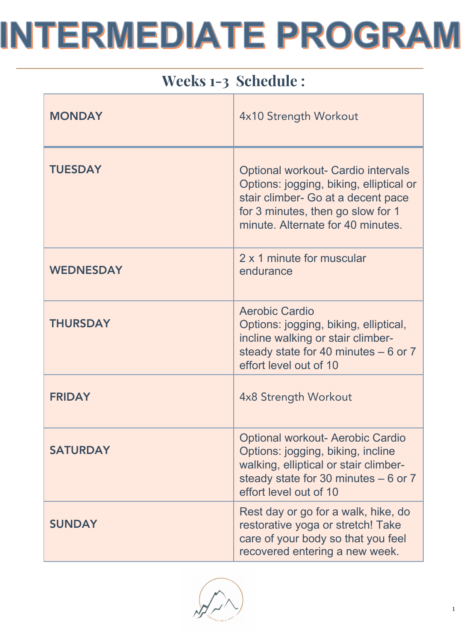| Weeks 1-3 Schedule : |                                                                                                                                                                                               |
|----------------------|-----------------------------------------------------------------------------------------------------------------------------------------------------------------------------------------------|
| <b>MONDAY</b>        | 4x10 Strength Workout                                                                                                                                                                         |
| <b>TUESDAY</b>       | Optional workout- Cardio intervals<br>Options: jogging, biking, elliptical or<br>stair climber- Go at a decent pace<br>for 3 minutes, then go slow for 1<br>minute. Alternate for 40 minutes. |
| <b>WEDNESDAY</b>     | 2 x 1 minute for muscular<br>endurance                                                                                                                                                        |
| <b>THURSDAY</b>      | <b>Aerobic Cardio</b><br>Options: jogging, biking, elliptical,<br>incline walking or stair climber-<br>steady state for 40 minutes $-6$ or 7<br>effort level out of 10                        |
| <b>FRIDAY</b>        | 4x8 Strength Workout                                                                                                                                                                          |
| <b>SATURDAY</b>      | <b>Optional workout- Aerobic Cardio</b><br>Options: jogging, biking, incline<br>walking, elliptical or stair climber-<br>steady state for 30 minutes $-6$ or 7<br>effort level out of 10      |
| <b>SUNDAY</b>        | Rest day or go for a walk, hike, do<br>restorative yoga or stretch! Take<br>care of your body so that you feel<br>recovered entering a new week.                                              |

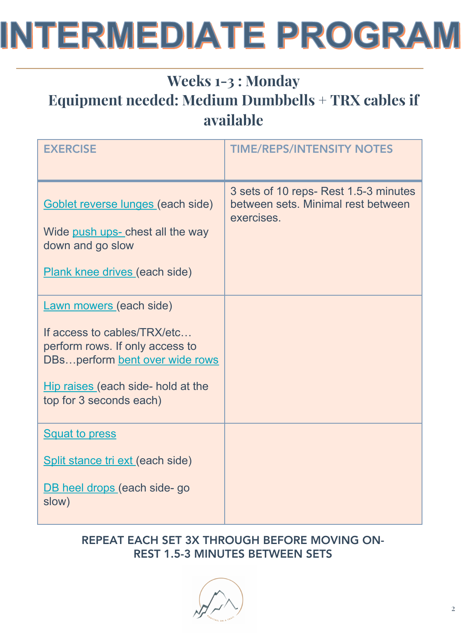#### Weeks 1-3 : Monday Equipment needed: Medium Dumbbells + TRX cables if available

| <b>EXERCISE</b>                                                                                                                                                                                     | <b>TIME/REPS/INTENSITY NOTES</b>                                                          |
|-----------------------------------------------------------------------------------------------------------------------------------------------------------------------------------------------------|-------------------------------------------------------------------------------------------|
| Goblet reverse lunges (each side)<br>Wide push ups- chest all the way<br>down and go slow<br>Plank knee drives (each side)                                                                          | 3 sets of 10 reps- Rest 1.5-3 minutes<br>between sets. Minimal rest between<br>exercises. |
| <b>Lawn mowers (each side)</b><br>If access to cables/TRX/etc<br>perform rows. If only access to<br>DBsperform bent over wide rows<br>Hip raises (each side- hold at the<br>top for 3 seconds each) |                                                                                           |
| <b>Squat to press</b><br>Split stance tri ext (each side)<br>DB heel drops (each side- go<br>slow)                                                                                                  |                                                                                           |

#### REPEAT EACH SET 3X THROUGH BEFORE MOVING ON-REST 1.5-3 MINUTES BETWEEN SETS

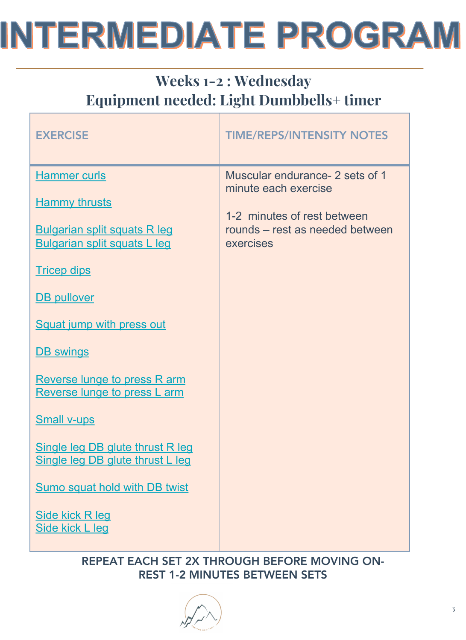#### Weeks 1-2 : Wednesday Equipment needed: Light Dumbbells+ timer

| <b>EXERCISE</b>                                                                                                                                                                                                                                                                                                                                                                                                                                                                         | <b>TIME/REPS/INTENSITY NOTES</b>                                                                                                       |
|-----------------------------------------------------------------------------------------------------------------------------------------------------------------------------------------------------------------------------------------------------------------------------------------------------------------------------------------------------------------------------------------------------------------------------------------------------------------------------------------|----------------------------------------------------------------------------------------------------------------------------------------|
| <b>Hammer curls</b><br><b>Hammy thrusts</b><br><b>Bulgarian split squats R leg</b><br><b>Bulgarian split squats L leg</b><br><b>Tricep dips</b><br><b>DB</b> pullover<br>Squat jump with press out<br><b>DB</b> swings<br><b>Reverse lunge to press R arm</b><br><b>Reverse lunge to press L arm</b><br><b>Small v-ups</b><br>Single leg DB glute thrust R leg<br>Single leg DB glute thrust L leg<br><b>Sumo squat hold with DB twist</b><br>Side kick R leg<br><b>Side kick L leg</b> | Muscular endurance- 2 sets of 1<br>minute each exercise<br>1-2 minutes of rest between<br>rounds – rest as needed between<br>exercises |

REPEAT EACH SET 2X THROUGH BEFORE MOVING ON-REST 1-2 MINUTES BETWEEN SETS